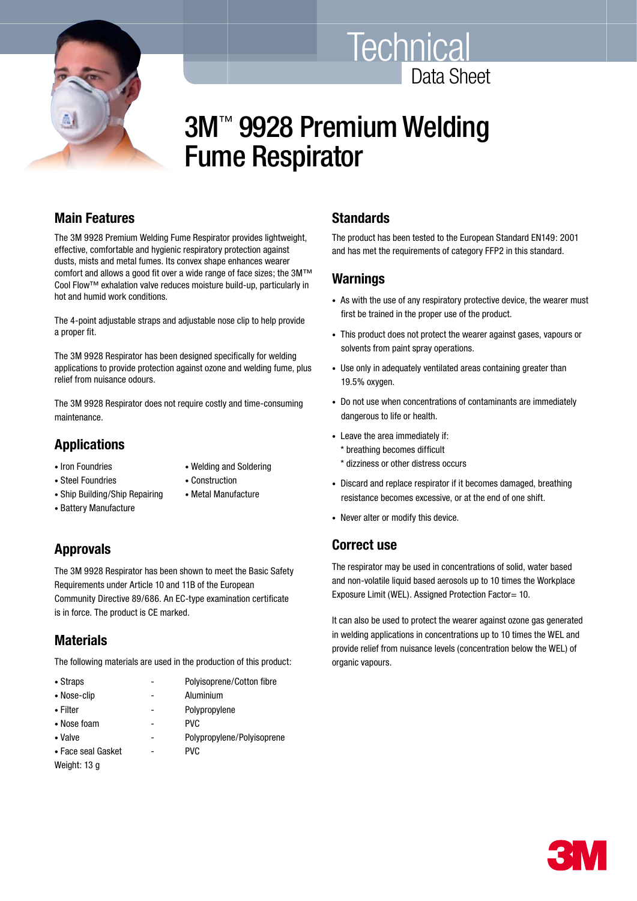



# 3M™ 9928 Premium Welding Fume Respirator

## **Main Features**

The 3M 9928 Premium Welding Fume Respirator provides lightweight, effective, comfortable and hygienic respiratory protection against dusts, mists and metal fumes. Its convex shape enhances wearer comfort and allows a good fit over a wide range of face sizes; the 3M™ Cool Flow™ exhalation valve reduces moisture build-up, particularly in hot and humid work conditions.

The 4-point adjustable straps and adjustable nose clip to help provide a proper fit.

The 3M 9928 Respirator has been designed specifically for welding applications to provide protection against ozone and welding fume, plus relief from nuisance odours.

The 3M 9928 Respirator does not require costly and time-consuming maintenance.

## **Applications**

- 
- Iron Foundries Welding and Soldering
- Steel Foundries Construction
- Ship Building/Ship Repairing Metal Manufacture
- Battery Manufacture

# **Approvals**

The 3M 9928 Respirator has been shown to meet the Basic Safety Requirements under Article 10 and 11B of the European Community Directive 89/686. An EC-type examination certificate is in force. The product is CE marked.

## **Materials**

The following materials are used in the production of this product:

| • Straps           | Polyisoprene/Cotton fibre  |
|--------------------|----------------------------|
| • Nose-clip        | Aluminium                  |
| • Filter           | Polypropylene              |
| • Nose foam        | <b>PVC</b>                 |
| • Valve            | Polypropylene/Polyisoprene |
| • Face seal Gasket | <b>PVC</b>                 |
| Weight: 13 g       |                            |

## **Standards**

The product has been tested to the European Standard EN149: 2001 and has met the requirements of category FFP2 in this standard.

#### **Warnings**

- As with the use of any respiratory protective device, the wearer must first be trained in the proper use of the product.
- This product does not protect the wearer against gases, vapours or solvents from paint spray operations.
- Use only in adequately ventilated areas containing greater than 19.5% oxygen.
- Do not use when concentrations of contaminants are immediately dangerous to life or health.
- Leave the area immediately if: \* breathing becomes difficult
	- \* dizziness or other distress occurs
- Discard and replace respirator if it becomes damaged, breathing resistance becomes excessive, or at the end of one shift.
- Never alter or modify this device.

## **Correct use**

The respirator may be used in concentrations of solid, water based and non-volatile liquid based aerosols up to 10 times the Workplace Exposure Limit (WEL). Assigned Protection Factor= 10.

It can also be used to protect the wearer against ozone gas generated in welding applications in concentrations up to 10 times the WEL and provide relief from nuisance levels (concentration below the WEL) of organic vapours.